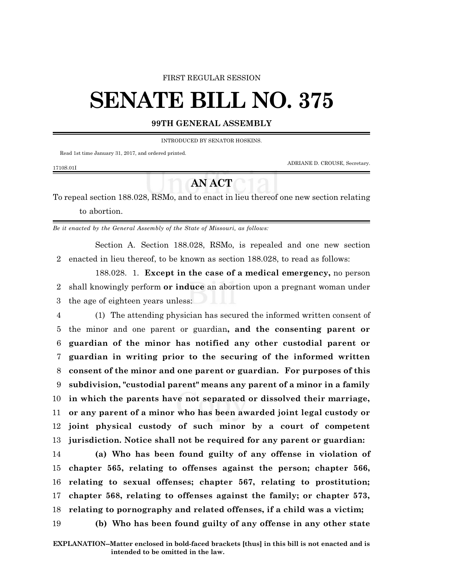### FIRST REGULAR SESSION

# **SENATE BILL NO. 375**

## **99TH GENERAL ASSEMBLY**

INTRODUCED BY SENATOR HOSKINS.

Read 1st time January 31, 2017, and ordered printed.

ADRIANE D. CROUSE, Secretary.

#### 1710S.01I

# **AN ACT**

To repeal section 188.028, RSMo, and to enact in lieu thereof one new section relating to abortion.

*Be it enacted by the General Assembly of the State of Missouri, as follows:*

Section A. Section 188.028, RSMo, is repealed and one new section 2 enacted in lieu thereof, to be known as section 188.028, to read as follows:

188.028. 1. **Except in the case of a medical emergency,** no person 2 shall knowingly perform **or induce** an abortion upon a pregnant woman under 3 the age of eighteen years unless:

 (1) The attending physician has secured the informed written consent of the minor and one parent or guardian**, and the consenting parent or guardian of the minor has notified any other custodial parent or guardian in writing prior to the securing of the informed written consent of the minor and one parent or guardian. For purposes of this subdivision, "custodial parent" means any parent of a minor in a family in which the parents have not separated or dissolved their marriage, or any parent of a minor who has been awarded joint legal custody or joint physical custody of such minor by a court of competent jurisdiction. Notice shall not be required for any parent or guardian:**

 **(a) Who has been found guilty of any offense in violation of chapter 565, relating to offenses against the person; chapter 566, relating to sexual offenses; chapter 567, relating to prostitution; chapter 568, relating to offenses against the family; or chapter 573, relating to pornography and related offenses, if a child was a victim; (b) Who has been found guilty of any offense in any other state**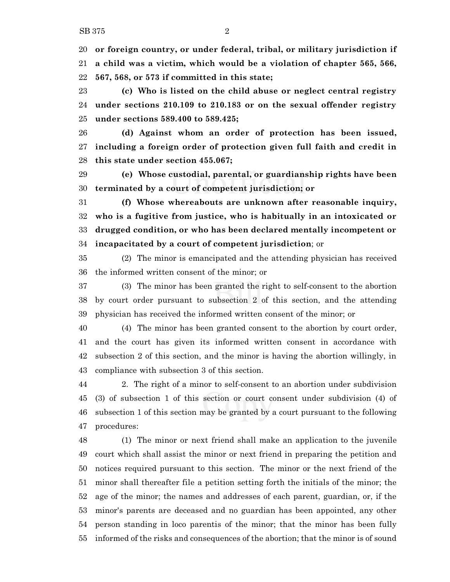**or foreign country, or under federal, tribal, or military jurisdiction if**

 **a child was a victim, which would be a violation of chapter 565, 566, 567, 568, or 573 if committed in this state;**

 **(c) Who is listed on the child abuse or neglect central registry under sections 210.109 to 210.183 or on the sexual offender registry under sections 589.400 to 589.425;**

 **(d) Against whom an order of protection has been issued, including a foreign order of protection given full faith and credit in this state under section 455.067;**

 **(e) Whose custodial, parental, or guardianship rights have been terminated by a court of competent jurisdiction; or**

 **(f) Whose whereabouts are unknown after reasonable inquiry, who is a fugitive from justice, who is habitually in an intoxicated or drugged condition, or who has been declared mentally incompetent or incapacitated by a court of competent jurisdiction**; or

 (2) The minor is emancipated and the attending physician has received the informed written consent of the minor; or

 (3) The minor has been granted the right to self-consent to the abortion by court order pursuant to subsection 2 of this section, and the attending physician has received the informed written consent of the minor; or

 (4) The minor has been granted consent to the abortion by court order, and the court has given its informed written consent in accordance with subsection 2 of this section, and the minor is having the abortion willingly, in compliance with subsection 3 of this section.

 2. The right of a minor to self-consent to an abortion under subdivision (3) of subsection 1 of this section or court consent under subdivision (4) of subsection 1 of this section may be granted by a court pursuant to the following procedures:

 (1) The minor or next friend shall make an application to the juvenile court which shall assist the minor or next friend in preparing the petition and notices required pursuant to this section. The minor or the next friend of the minor shall thereafter file a petition setting forth the initials of the minor; the age of the minor; the names and addresses of each parent, guardian, or, if the minor's parents are deceased and no guardian has been appointed, any other person standing in loco parentis of the minor; that the minor has been fully informed of the risks and consequences of the abortion; that the minor is of sound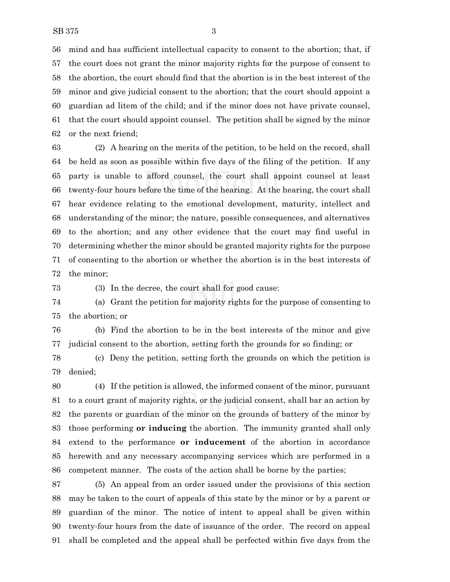mind and has sufficient intellectual capacity to consent to the abortion; that, if the court does not grant the minor majority rights for the purpose of consent to the abortion, the court should find that the abortion is in the best interest of the minor and give judicial consent to the abortion; that the court should appoint a guardian ad litem of the child; and if the minor does not have private counsel, that the court should appoint counsel. The petition shall be signed by the minor or the next friend;

 (2) A hearing on the merits of the petition, to be held on the record, shall be held as soon as possible within five days of the filing of the petition. If any party is unable to afford counsel, the court shall appoint counsel at least twenty-four hours before the time of the hearing. At the hearing, the court shall hear evidence relating to the emotional development, maturity, intellect and understanding of the minor; the nature, possible consequences, and alternatives to the abortion; and any other evidence that the court may find useful in determining whether the minor should be granted majority rights for the purpose of consenting to the abortion or whether the abortion is in the best interests of the minor;

(3) In the decree, the court shall for good cause:

 (a) Grant the petition for majority rights for the purpose of consenting to the abortion; or

 (b) Find the abortion to be in the best interests of the minor and give judicial consent to the abortion, setting forth the grounds for so finding; or

 (c) Deny the petition, setting forth the grounds on which the petition is denied;

 (4) If the petition is allowed, the informed consent of the minor, pursuant to a court grant of majority rights, or the judicial consent, shall bar an action by the parents or guardian of the minor on the grounds of battery of the minor by those performing **or inducing** the abortion. The immunity granted shall only extend to the performance **or inducement** of the abortion in accordance herewith and any necessary accompanying services which are performed in a competent manner. The costs of the action shall be borne by the parties;

 (5) An appeal from an order issued under the provisions of this section may be taken to the court of appeals of this state by the minor or by a parent or guardian of the minor. The notice of intent to appeal shall be given within twenty-four hours from the date of issuance of the order. The record on appeal shall be completed and the appeal shall be perfected within five days from the